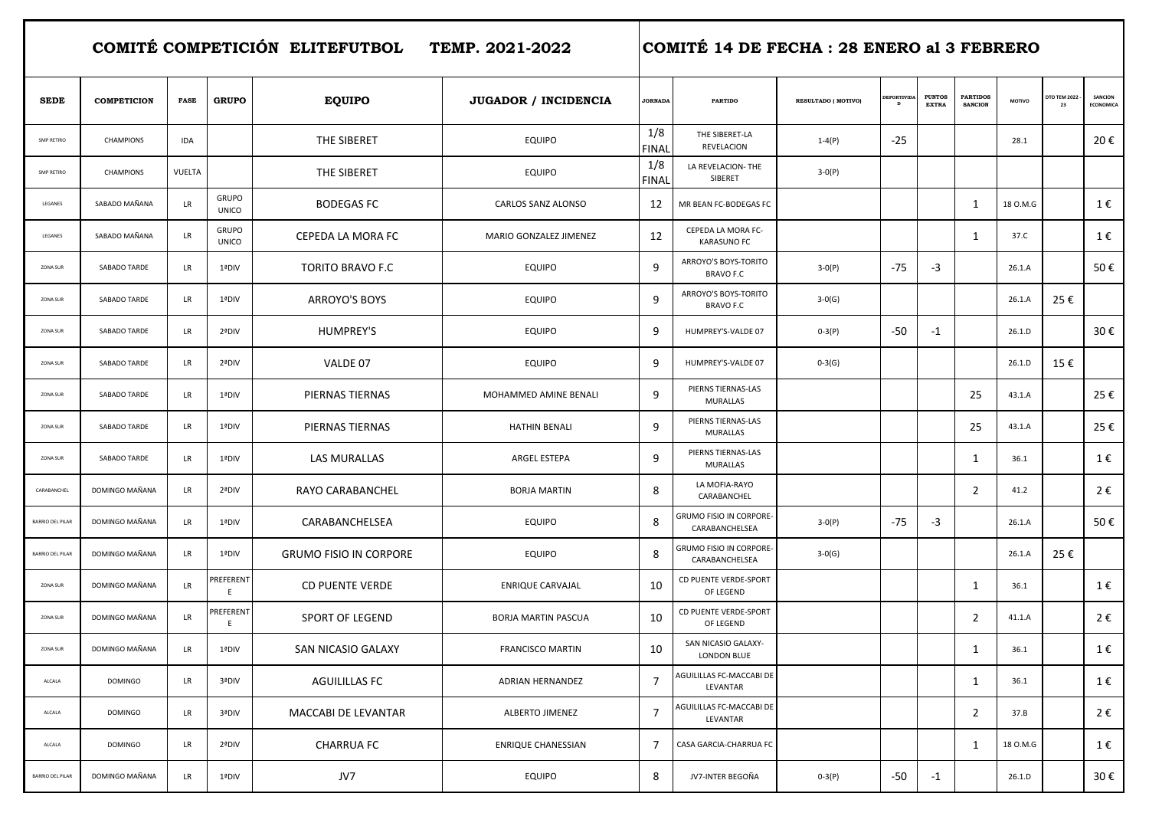**COMITÉ COMPETICIÓN ELITEFUTBOL TEMP. 2021-2022 COMITÉ 14 DE FECHA : 28 ENERO al 3 FEBRERO** 

| <b>SEDE</b>       | <b>COMPETICION</b> | <b>FASE</b> | <b>GRUPO</b>                 | <b>EQUIPO</b>                 | JUGADOR / INCIDENCIA       | <b>JORNADA</b>      | <b>PARTIDO</b>                            | <b>RESULTADO (MOTIVO)</b> | <b>DEPORTIVID.</b><br>D | <b>PUNTOS</b><br><b>EXTRA</b> | <b>PARTIDOS</b><br><b>SANCION</b> | MOTIVO   | <b>DTO TEM 2022</b><br>23 | SANCION<br><b>ECONOMICA</b> |
|-------------------|--------------------|-------------|------------------------------|-------------------------------|----------------------------|---------------------|-------------------------------------------|---------------------------|-------------------------|-------------------------------|-----------------------------------|----------|---------------------------|-----------------------------|
| <b>SMP RETIRO</b> | CHAMPIONS          | <b>IDA</b>  |                              | THE SIBERET                   | <b>EQUIPO</b>              | 1/8<br><b>FINAI</b> | THE SIBERET-LA<br>REVELACION              | $1 - 4(P)$                | $-25$                   |                               |                                   | 28.1     |                           | 20€                         |
| SMP RETIRO        | <b>CHAMPIONS</b>   | VUELTA      |                              | THE SIBERET                   | <b>EQUIPO</b>              | 1/8<br><b>FINAL</b> | LA REVELACION- THE<br>SIBERET             | $3-0(P)$                  |                         |                               |                                   |          |                           |                             |
| LEGANES           | SABADO MAÑANA      | <b>LR</b>   | <b>GRUPO</b><br><b>UNICO</b> | <b>BODEGAS FC</b>             | CARLOS SANZ ALONSO         | 12                  | MR BEAN FC-BODEGAS FC                     |                           |                         |                               | 1                                 | 18 O.M.G |                           | 1€                          |
| LEGANES           | SABADO MAÑANA      | <b>LR</b>   | <b>GRUPO</b><br><b>UNICO</b> | CEPEDA LA MORA FC             | MARIO GONZALEZ JIMENEZ     | 12                  | CEPEDA LA MORA FC-<br><b>KARASUNO FC</b>  |                           |                         |                               | 1                                 | 37.C     |                           | 1€                          |
| ZONA SUR          | SABADO TARDE       | LR          | 1ªDIV                        | <b>TORITO BRAVO F.C.</b>      | <b>EQUIPO</b>              | 9                   | ARROYO'S BOYS-TORITO<br><b>BRAVO F.C</b>  | $3-0(P)$                  | $-75$                   | $-3$                          |                                   | 26.1.A   |                           | 50€                         |
| ZONA SUR          | SABADO TARDE       | LR          | 1ªDIV                        | ARROYO'S BOYS                 | <b>EQUIPO</b>              | 9                   | ARROYO'S BOYS-TORITO<br><b>BRAVO F.C</b>  | $3-0(G)$                  |                         |                               |                                   | 26.1.A   | 25€                       |                             |
| ZONA SUR          | SABADO TARDE       | <b>LR</b>   | 2ªDIV                        | <b>HUMPREY'S</b>              | <b>EQUIPO</b>              | 9                   | HUMPREY'S-VALDE 07                        | $0-3(P)$                  | $-50$                   | $-1$                          |                                   | 26.1.D   |                           | 30€                         |
| ZONA SUR          | SABADO TARDE       | LR          | 2ªDIV                        | VALDE 07                      | <b>EQUIPO</b>              | 9                   | HUMPREY'S-VALDE 07                        | $0-3(G)$                  |                         |                               |                                   | 26.1.D   | 15€                       |                             |
| ZONA SUR          | SABADO TARDE       | <b>LR</b>   | 1ªDIV                        | PIERNAS TIERNAS               | MOHAMMED AMINE BENALI      | 9                   | PIERNS TIERNAS-LAS<br>MURALLAS            |                           |                         |                               | 25                                | 43.1.A   |                           | 25€                         |
| ZONA SUR          | SABADO TARDE       | LR          | 1ªDIV                        | PIERNAS TIERNAS               | <b>HATHIN BENALI</b>       | 9                   | PIERNS TIERNAS-LAS<br>MURALLAS            |                           |                         |                               | 25                                | 43.1.A   |                           | 25€                         |
| ZONA SUR          | SABADO TARDE       | LR          | 1ªDIV                        | LAS MURALLAS                  | ARGEL ESTEPA               | 9                   | PIERNS TIERNAS-LAS<br>MURALLAS            |                           |                         |                               | $\mathbf{1}$                      | 36.1     |                           | 1€                          |
| CARABANCHEL       | DOMINGO MAÑANA     | LR          | 2ªDIV                        | RAYO CARABANCHEL              | <b>BORJA MARTIN</b>        | 8                   | LA MOFIA-RAYO<br>CARABANCHEL              |                           |                         |                               | $\overline{2}$                    | 41.2     |                           | 2€                          |
| BARRIO DEL PILAR  | DOMINGO MAÑANA     | LR          | 1ªDIV                        | CARABANCHELSEA                | <b>EQUIPO</b>              | 8                   | GRUMO FISIO IN CORPORE-<br>CARABANCHELSEA | $3-0(P)$                  | $-75$                   | $-3$                          |                                   | 26.1.A   |                           | 50€                         |
| BARRIO DEL PILAR  | DOMINGO MAÑANA     | LR          | 1ªDIV                        | <b>GRUMO FISIO IN CORPORE</b> | <b>EQUIPO</b>              | 8                   | GRUMO FISIO IN CORPORE-<br>CARABANCHELSEA | $3-0(G)$                  |                         |                               |                                   | 26.1.A   | 25€                       |                             |
| ZONA SUR          | DOMINGO MAÑANA     | LR          | <b>PREFERENT</b><br>E.       | <b>CD PUENTE VERDE</b>        | ENRIQUE CARVAJAL           | 10                  | CD PUENTE VERDE-SPORT<br>OF LEGEND        |                           |                         |                               | $\mathbf{1}$                      | 36.1     |                           | 1€                          |
| ZONA SUR          | DOMINGO MAÑANA     | LR          | PREFERENT<br>E.              | <b>SPORT OF LEGEND</b>        | <b>BORJA MARTIN PASCUA</b> | 10                  | CD PUENTE VERDE-SPORT<br>OF LEGEND        |                           |                         |                               | $\overline{2}$                    | 41.1.A   |                           | 2€                          |
| ZONA SUR          | DOMINGO MAÑANA     | LR          | 1ªDIV                        | SAN NICASIO GALAXY            | <b>FRANCISCO MARTIN</b>    | 10                  | SAN NICASIO GALAXY-<br><b>LONDON BLUE</b> |                           |                         |                               | 1                                 | 36.1     |                           | 1€                          |
| ALCALA            | <b>DOMINGO</b>     | LR.         | 3ªDIV                        | AGUILILLAS FC                 | <b>ADRIAN HERNANDEZ</b>    | $\overline{7}$      | AGUILILLAS FC-MACCABI DE<br>LEVANTAR      |                           |                         |                               | $\mathbf 1$                       | 36.1     |                           | 1€                          |
| ALCALA            | <b>DOMINGO</b>     | LR          | 3ªDIV                        | MACCABI DE LEVANTAR           | ALBERTO JIMENEZ            | 7                   | AGUILILLAS FC-MACCABI DE<br>LEVANTAR      |                           |                         |                               | $\overline{2}$                    | 37.B     |                           | 2€                          |
| ALCALA            | <b>DOMINGO</b>     | <b>LR</b>   | 2ªDIV                        | <b>CHARRUA FC</b>             | ENRIQUE CHANESSIAN         | 7                   | CASA GARCIA-CHARRUA FC                    |                           |                         |                               | 1                                 | 18 O.M.G |                           | 1€                          |
| BARRIO DEL PILAR  | DOMINGO MAÑANA     | <b>LR</b>   | 1ªDIV                        | JV7                           | EQUIPO                     | 8                   | JV7-INTER BEGOÑA                          | $0-3(P)$                  | $-50$                   | $-1$                          |                                   | 26.1.D   |                           | 30€                         |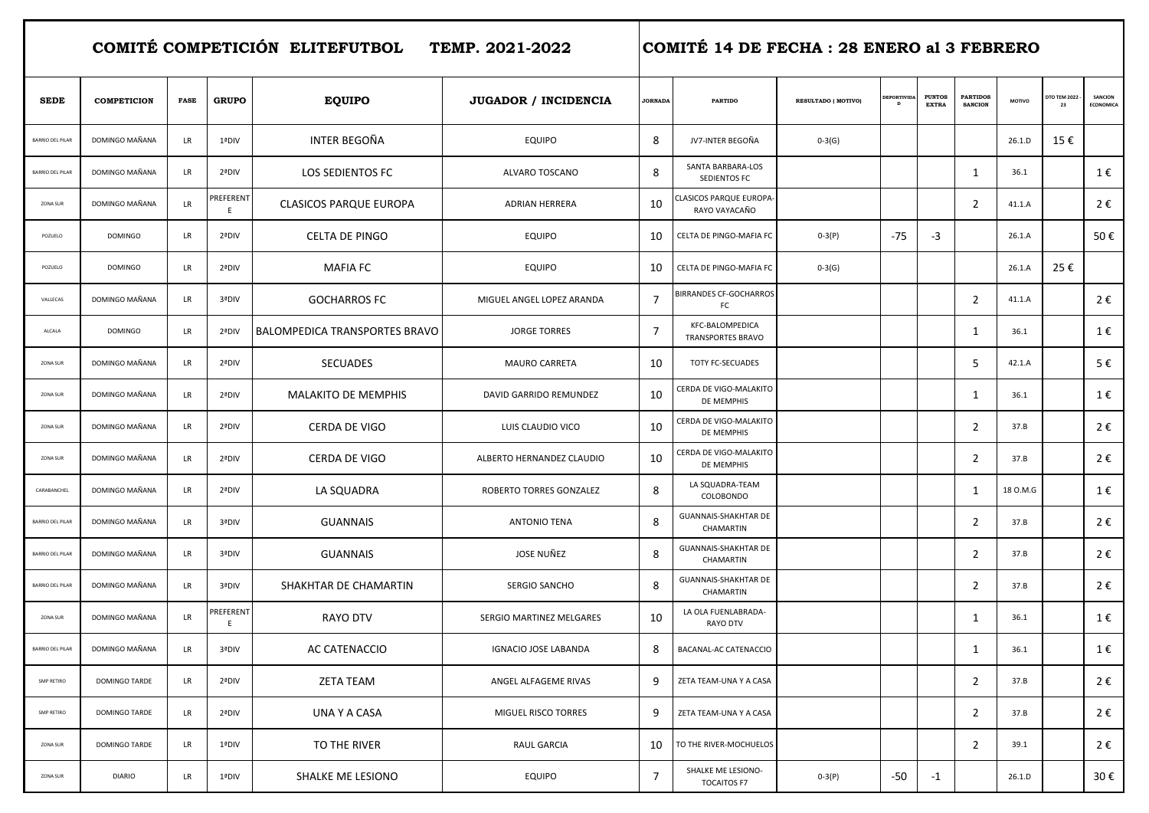**COMITÉ COMPETICIÓN ELITEFUTBOL TEMP. 2021-2022 COMITÉ 14 DE FECHA : 28 ENERO al 3 FEBRERO** 

| <b>SEDE</b>             | <b>COMPETICION</b> | <b>FASE</b> | <b>GRUPO</b>          | <b>EQUIPO</b>                        | JUGADOR / INCIDENCIA        | <b>JORNADA</b> | <b>PARTIDO</b>                              | RESULTADO (MOTIVO) | <b>EPORTIVI</b><br>D | <b>PUNTOS</b><br><b>EXTRA</b> | <b>PARTIDOS</b><br><b>SANCION</b> | <b>MOTIVO</b> | <b>DTO TEM 2022</b><br>23 | SANCION<br>ECONOMICA |
|-------------------------|--------------------|-------------|-----------------------|--------------------------------------|-----------------------------|----------------|---------------------------------------------|--------------------|----------------------|-------------------------------|-----------------------------------|---------------|---------------------------|----------------------|
| <b>BARRIO DEL PILAR</b> | DOMINGO MAÑANA     | LR.         | 1ªDIV                 | INTER BEGOÑA                         | <b>EQUIPO</b>               | 8              | JV7-INTER BEGOÑA                            | $0-3(G)$           |                      |                               |                                   | 26.1.D        | 15€                       |                      |
| <b>BARRIO DEL PILAR</b> | DOMINGO MAÑANA     | LR          | 2ªDIV                 | LOS SEDIENTOS FC                     | ALVARO TOSCANO              | 8              | SANTA BARBARA-LOS<br>SEDIENTOS FC           |                    |                      |                               | $\mathbf{1}$                      | 36.1          |                           | 1€                   |
| ZONA SUR                | DOMINGO MAÑANA     | LR          | <b>REFERENT</b><br>E. | <b>CLASICOS PARQUE EUROPA</b>        | <b>ADRIAN HERRERA</b>       | 10             | CLASICOS PARQUE EUROPA-<br>RAYO VAYACAÑO    |                    |                      |                               | $\overline{2}$                    | 41.1.A        |                           | 2€                   |
| POZUELO                 | <b>DOMINGO</b>     | <b>LR</b>   | 2ªDIV                 | <b>CELTA DE PINGO</b>                | <b>EQUIPO</b>               | 10             | CELTA DE PINGO-MAFIA FC                     | $0-3(P)$           | -75                  | $-3$                          |                                   | 26.1.A        |                           | 50€                  |
| POZUELO                 | <b>DOMINGO</b>     | LR          | 2ªDIV                 | <b>MAFIA FC</b>                      | <b>EQUIPO</b>               | 10             | CELTA DE PINGO-MAFIA FC                     | $0-3(G)$           |                      |                               |                                   | 26.1.A        | 25€                       |                      |
| VALLECAS                | DOMINGO MAÑANA     | LR          | 3ªDIV                 | <b>GOCHARROS FC</b>                  | MIGUEL ANGEL LOPEZ ARANDA   | 7              | <b>BIRRANDES CF-GOCHARROS</b><br>FC         |                    |                      |                               | $\overline{2}$                    | 41.1.A        |                           | 2€                   |
| ALCALA                  | <b>DOMINGO</b>     | LR          | 2ªDIV                 | <b>BALOMPEDICA TRANSPORTES BRAVO</b> | <b>JORGE TORRES</b>         | 7              | KFC-BALOMPEDICA<br>TRANSPORTES BRAVO        |                    |                      |                               | $\mathbf{1}$                      | 36.1          |                           | 1€                   |
| ZONA SUR                | DOMINGO MAÑANA     | LR          | 2ªDIV                 | <b>SECUADES</b>                      | <b>MAURO CARRETA</b>        | 10             | TOTY FC-SECUADES                            |                    |                      |                               | -5                                | 42.1.A        |                           | 5€                   |
| ZONA SUR                | DOMINGO MAÑANA     | LR          | 2ªDIV                 | <b>MALAKITO DE MEMPHIS</b>           | DAVID GARRIDO REMUNDEZ      | 10             | CERDA DE VIGO-MALAKITO<br>DE MEMPHIS        |                    |                      |                               | 1                                 | 36.1          |                           | 1€                   |
| ZONA SUR                | DOMINGO MAÑANA     | LR          | 2ªDIV                 | CERDA DE VIGO                        | LUIS CLAUDIO VICO           | 10             | CERDA DE VIGO-MALAKITO<br>DE MEMPHIS        |                    |                      |                               | $\overline{2}$                    | 37.B          |                           | 2€                   |
| ZONA SUR                | DOMINGO MAÑANA     | LR          | 2ªDIV                 | CERDA DE VIGO                        | ALBERTO HERNANDEZ CLAUDIO   | 10             | CERDA DE VIGO-MALAKITO<br><b>DE MEMPHIS</b> |                    |                      |                               | 2                                 | 37.B          |                           | 2€                   |
| CARABANCHEL             | DOMINGO MAÑANA     | LR          | 2ªDIV                 | LA SQUADRA                           | ROBERTO TORRES GONZALEZ     | 8              | LA SQUADRA-TEAM<br>COLOBONDO                |                    |                      |                               | $\mathbf{1}$                      | 18 O.M.G      |                           | 1€                   |
| BARRIO DEL PILAR        | DOMINGO MAÑANA     | LR          | 3ªDIV                 | <b>GUANNAIS</b>                      | ANTONIO TENA                | 8              | GUANNAIS-SHAKHTAR DE<br>CHAMARTIN           |                    |                      |                               | $\overline{2}$                    | 37.B          |                           | 2€                   |
| BARRIO DEL PILAR        | DOMINGO MAÑANA     | LR          | 3ªDIV                 | <b>GUANNAIS</b>                      | JOSE NUÑEZ                  | 8              | GUANNAIS-SHAKHTAR DE<br>CHAMARTIN           |                    |                      |                               | $\overline{2}$                    | 37.B          |                           | 2€                   |
| BARRIO DEL PILAR        | DOMINGO MAÑANA     | LR          | 3ªDIV                 | SHAKHTAR DE CHAMARTIN                | SERGIO SANCHO               | 8              | GUANNAIS-SHAKHTAR DE<br>CHAMARTIN           |                    |                      |                               | $\overline{2}$                    | 37.B          |                           | 2€                   |
| ZONA SUR                | DOMINGO MAÑANA     | LR          | PREFERENT<br>E.       | RAYO DTV                             | SERGIO MARTINEZ MELGARES    | 10             | LA OLA FUENLABRADA-<br>RAYO DTV             |                    |                      |                               | 1                                 | 36.1          |                           | 1€                   |
| BARRIO DEL PILAR        | DOMINGO MAÑANA     | LR          | 3ªDIV                 | AC CATENACCIO                        | <b>IGNACIO JOSE LABANDA</b> | 8              | BACANAL-AC CATENACCIO                       |                    |                      |                               | 1                                 | 36.1          |                           | 1€                   |
| SMP RETIRO              | DOMINGO TARDE      | LR          | 2ªDIV                 | <b>ZETA TEAM</b>                     | ANGEL ALFAGEME RIVAS        | 9              | ZETA TEAM-UNA Y A CASA                      |                    |                      |                               | $\overline{2}$                    | 37.B          |                           | 2€                   |
| SMP RETIRO              | DOMINGO TARDE      | LR          | 2ªDIV                 | UNA Y A CASA                         | MIGUEL RISCO TORRES         | 9              | ZETA TEAM-UNA Y A CASA                      |                    |                      |                               | $\overline{2}$                    | 37.B          |                           | 2€                   |
| ZONA SUR                | DOMINGO TARDE      | LR          | 1ªDIV                 | TO THE RIVER                         | RAUL GARCIA                 | 10             | TO THE RIVER-MOCHUELOS                      |                    |                      |                               | $\overline{2}$                    | 39.1          |                           | 2€                   |
| ZONA SUR                | <b>DIARIO</b>      | <b>LR</b>   | 1ªDIV                 | SHALKE ME LESIONO                    | EQUIPO                      | $\overline{7}$ | SHALKE ME LESIONO-<br><b>TOCAITOS F7</b>    | $0-3(P)$           | $-50$                | $-1$                          |                                   | 26.1.D        |                           | 30€                  |